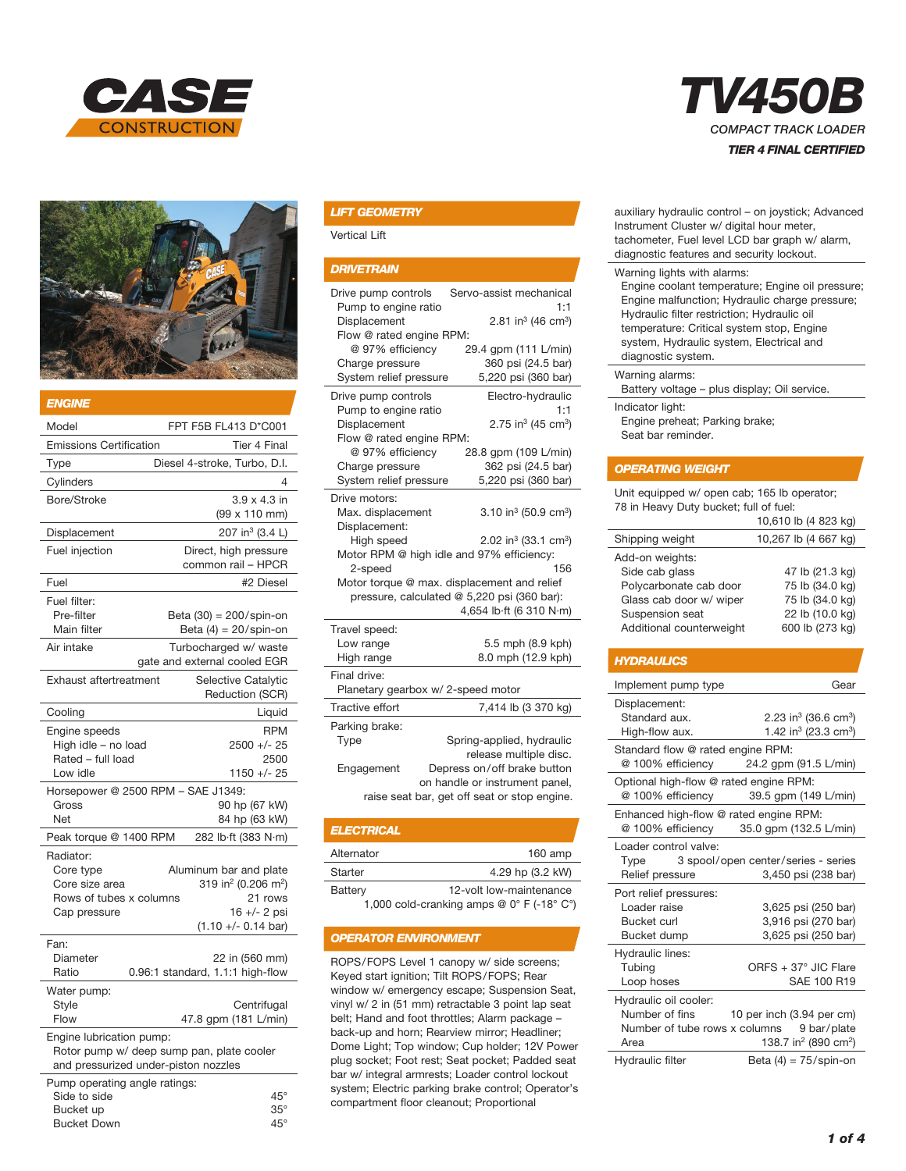



#### *ENGINE*

| Model<br>FPT F5B FL413 D*C001                                                       |                                                                                                                                   |  |  |
|-------------------------------------------------------------------------------------|-----------------------------------------------------------------------------------------------------------------------------------|--|--|
| <b>Emissions Certification</b>                                                      | <b>Tier 4 Final</b>                                                                                                               |  |  |
| Type                                                                                | Diesel 4-stroke, Turbo, D.I.                                                                                                      |  |  |
| Cylinders                                                                           | 4                                                                                                                                 |  |  |
| Bore/Stroke                                                                         | $3.9 \times 4.3$ in<br>(99 x 110 mm)                                                                                              |  |  |
| Displacement                                                                        | 207 in <sup>3</sup> (3.4 L)                                                                                                       |  |  |
| Fuel injection                                                                      | Direct, high pressure<br>common rail - HPCR                                                                                       |  |  |
| Fuel                                                                                | #2 Diesel                                                                                                                         |  |  |
| Fuel filter:<br>Pre-filter<br>Main filter                                           | Beta (30) = 200/spin-on<br>Beta $(4) = 20$ /spin-on                                                                               |  |  |
| Air intake                                                                          | Turbocharged w/ waste<br>gate and external cooled EGR                                                                             |  |  |
| <b>Exhaust aftertreatment</b>                                                       | Selective Catalytic<br>Reduction (SCR)                                                                                            |  |  |
| Cooling                                                                             | Liquid                                                                                                                            |  |  |
| Engine speeds<br>High idle - no load<br>Rated - full load<br>Low idle               | <b>RPM</b><br>2500 +/- 25<br>2500<br>1150 +/- 25                                                                                  |  |  |
| Horsepower @ 2500 RPM - SAE J1349:                                                  |                                                                                                                                   |  |  |
| Gross<br>Net                                                                        | 90 hp (67 kW)<br>84 hp (63 kW)                                                                                                    |  |  |
| Peak torque @ 1400 RPM                                                              | 282 lb·ft (383 N·m)                                                                                                               |  |  |
| Radiator:<br>Core type<br>Core size area<br>Rows of tubes x columns<br>Cap pressure | Aluminum bar and plate<br>319 in <sup>2</sup> (0.206 m <sup>2</sup> )<br>21 rows<br>16 +/- 2 psi<br>$(1.10 + - 0.14 \text{ bar})$ |  |  |
| Fan:<br>Diameter<br>Ratio                                                           | 22 in (560 mm)<br>0.96:1 standard, 1.1:1 high-flow                                                                                |  |  |
| Water pump:<br>Style<br>Flow                                                        | Centrifugal<br>47.8 gpm (181 L/min)                                                                                               |  |  |
| Engine lubrication pump:<br>and pressurized under-piston nozzles                    | Rotor pump w/ deep sump pan, plate cooler                                                                                         |  |  |
| Pump operating angle ratings:<br>Side to side<br>Bucket un                          | $45^{\circ}$<br>$35^\circ$                                                                                                        |  |  |

Bucket Down 45°

## *LIFT GEOMETRY*

Vertical Lift

## *DRIVETRAIN*

| Drive pump controls<br>Pump to engine ratio<br>Displacement<br>Flow @ rated engine RPM:<br>@ 97% efficiency<br>Charge pressure<br>System relief pressure                                                                                                                                                                                                  | Servo-assist mechanical<br>1:1<br>2.81 in <sup>3</sup> (46 cm <sup>3</sup> )<br>29.4 qpm (111 L/min)<br>360 psi (24.5 bar)<br>5,220 psi (360 bar)                    |  |  |
|-----------------------------------------------------------------------------------------------------------------------------------------------------------------------------------------------------------------------------------------------------------------------------------------------------------------------------------------------------------|----------------------------------------------------------------------------------------------------------------------------------------------------------------------|--|--|
| Drive pump controls<br>Pump to engine ratio<br>Displacement<br>Flow @ rated engine RPM:<br>@ 97% efficiency<br>Charge pressure<br>System relief pressure                                                                                                                                                                                                  | Electro-hydraulic<br>1:1<br>2.75 in <sup>3</sup> (45 cm <sup>3</sup> )<br>28.8 gpm (109 L/min)<br>362 psi (24.5 bar)<br>5,220 psi (360 bar)                          |  |  |
| Drive motors:<br>3.10 in <sup>3</sup> (50.9 cm <sup>3</sup> )<br>Max. displacement<br>Displacement:<br>2.02 in <sup>3</sup> (33.1 cm <sup>3</sup> )<br>High speed<br>Motor RPM @ high idle and 97% efficiency:<br>2-speed<br>156<br>Motor torque @ max. displacement and relief<br>pressure, calculated @ 5,220 psi (360 bar):<br>4,654 lb·ft (6 310 N·m) |                                                                                                                                                                      |  |  |
| Travel speed:<br>Low range<br>High range                                                                                                                                                                                                                                                                                                                  | 5.5 mph (8.9 kph)<br>8.0 mph (12.9 kph)                                                                                                                              |  |  |
| Final drive:<br>Planetary gearbox w/ 2-speed motor                                                                                                                                                                                                                                                                                                        |                                                                                                                                                                      |  |  |
| Tractive effort                                                                                                                                                                                                                                                                                                                                           | 7,414 lb (3 370 kg)                                                                                                                                                  |  |  |
| Parking brake:<br>Type<br>Engagement                                                                                                                                                                                                                                                                                                                      | Spring-applied, hydraulic<br>release multiple disc.<br>Depress on/off brake button<br>on handle or instrument panel,<br>raise seat bar, get off seat or stop engine. |  |  |

| <b>ELECTRICAL</b> |                         |
|-------------------|-------------------------|
| Alternator        | $160$ amp               |
| Starter           | 4.29 hp (3.2 kW)        |
| Battery           | 12-volt low-maintenance |

1,000 cold-cranking amps @ 0° F (-18° C°)

# *OPERATOR ENVIRONMENT*

ROPS/FOPS Level 1 canopy w/ side screens; Keyed start ignition; Tilt ROPS/FOPS; Rear window w/ emergency escape; Suspension Seat, vinyl w/ 2 in (51 mm) retractable 3 point lap seat belt; Hand and foot throttles; Alarm package – back-up and horn; Rearview mirror; Headliner; Dome Light; Top window; Cup holder; 12V Power plug socket; Foot rest; Seat pocket; Padded seat bar w/ integral armrests; Loader control lockout system; Electric parking brake control; Operator's compartment floor cleanout; Proportional



| auxiliary hydraulic control - on joystick; Advanced |
|-----------------------------------------------------|
| Instrument Cluster w/ digital hour meter,           |
| tachometer, Fuel level LCD bar graph w/ alarm,      |
| diagnostic features and security lockout.           |
|                                                     |

#### Warning lights with alarms:

Engine coolant temperature; Engine oil pressure; Engine malfunction; Hydraulic charge pressure; Hydraulic filter restriction; Hydraulic oil temperature: Critical system stop, Engine system, Hydraulic system, Electrical and diagnostic system.

#### Warning alarms:

Battery voltage – plus display; Oil service. Indicator light: Engine preheat; Parking brake;

Seat bar reminder.

## *OPERATING WEIGHT*

Unit equipped w/ open cab; 165 lb operator; 78 in Heavy Duty bucket; full of fuel:

|                          | 10,610 lb (4 823 kg) |
|--------------------------|----------------------|
| Shipping weight          | 10,267 lb (4 667 kg) |
| Add-on weights:          |                      |
| Side cab glass           | 47 lb (21.3 kg)      |
| Polycarbonate cab door   | 75 lb (34.0 kg)      |
| Glass cab door w/ wiper  | 75 lb (34.0 kg)      |
| Suspension seat          | 22 lb (10.0 kg)      |
| Additional counterweight | 600 lb (273 kg)      |

## *HYDRAULICS*

| Implement pump type                          | Gear                                         |  |
|----------------------------------------------|----------------------------------------------|--|
| Displacement:<br>Standard aux.               | 2.23 in <sup>3</sup> (36.6 cm <sup>3</sup> ) |  |
| High-flow aux.                               | 1.42 in <sup>3</sup> (23.3 cm <sup>3</sup> ) |  |
| Standard flow @ rated engine RPM:            |                                              |  |
| @ 100% efficiency                            | 24.2 qpm (91.5 L/min)                        |  |
| Optional high-flow @ rated engine RPM:       |                                              |  |
| @ 100% efficiency                            | 39.5 gpm (149 L/min)                         |  |
| Enhanced high-flow @ rated engine RPM:       |                                              |  |
| @ 100% efficiency                            | 35.0 gpm (132.5 L/min)                       |  |
| Loader control valve:                        |                                              |  |
|                                              | Type 3 spool/open center/series - series     |  |
| Relief pressure                              | 3,450 psi (238 bar)                          |  |
| Port relief pressures:                       |                                              |  |
| I oader raise                                | 3,625 psi (250 bar)                          |  |
| <b>Bucket curl</b>                           | 3,916 psi (270 bar)                          |  |
| Bucket dump                                  | 3,625 psi (250 bar)                          |  |
| Hydraulic lines:                             |                                              |  |
| Tubing                                       | ORFS + 37° JIC Flare                         |  |
| Loop hoses                                   | SAE 100 R19                                  |  |
| Hydraulic oil cooler:                        |                                              |  |
| Number of fins                               | 10 per inch (3.94 per cm)                    |  |
| Number of tube rows x columns<br>9 bar/plate |                                              |  |
| Area                                         | 138.7 in <sup>2</sup> (890 cm <sup>2</sup> ) |  |
| <b>Hydraulic filter</b>                      | Beta $(4) = 75$ /spin-on                     |  |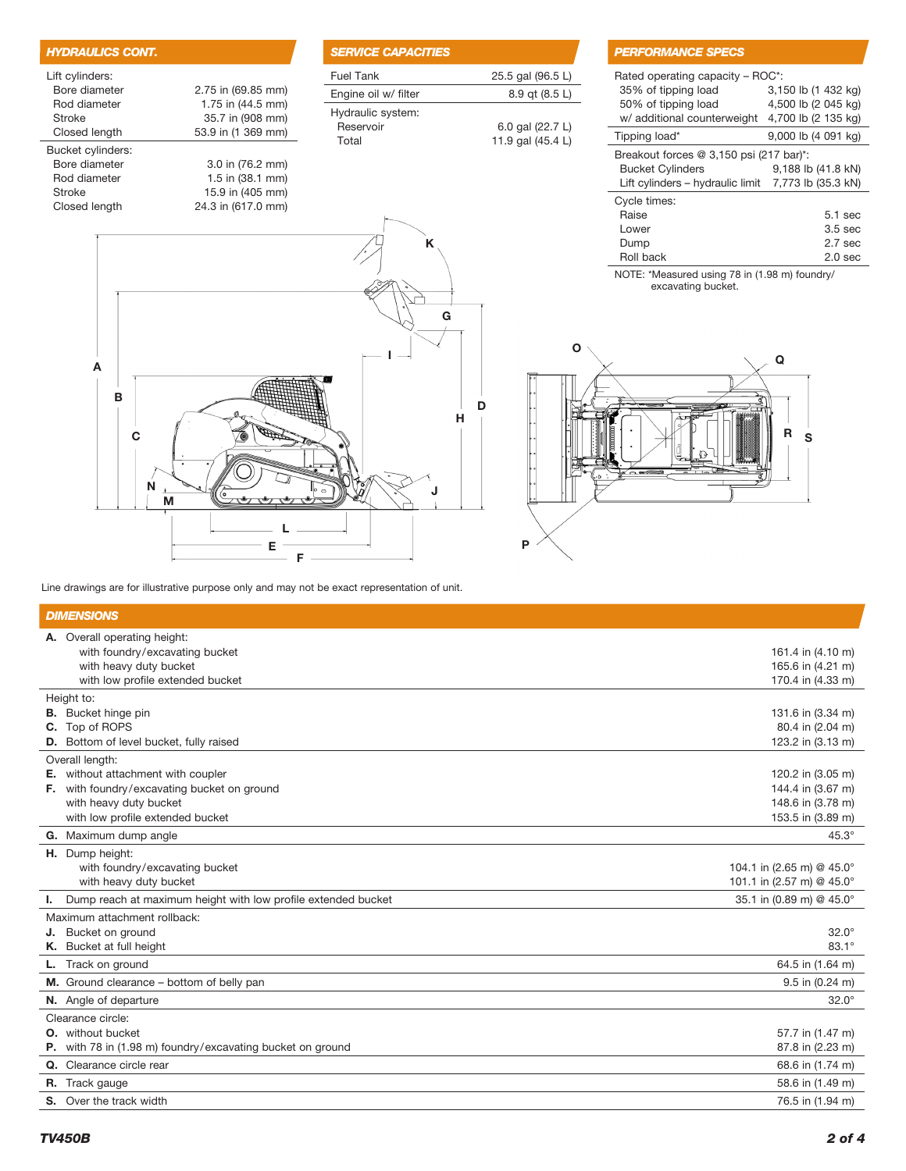| <b>HYDRAULICS CONT.</b> |                    |
|-------------------------|--------------------|
| Lift cylinders:         |                    |
| Bore diameter           | 2.75 in (69.85 mm) |
| Rod diameter            | 1.75 in (44.5 mm)  |
| Stroke                  | 35.7 in (908 mm)   |
| Closed length           | 53.9 in (1 369 mm) |
| Bucket cylinders:       |                    |
| Bore diameter           | 3.0 in (76.2 mm)   |
| Rod diameter            | 1.5 in (38.1 mm)   |
| Stroke                  | 15.9 in (405 mm)   |
| Closed length           | 24.3 in (617.0 mm) |
|                         |                    |

A

| <b>SERVICE CAPACITIES</b> |                   |
|---------------------------|-------------------|
| <b>Fuel Tank</b>          | 25.5 gal (96.5 L) |
| Engine oil w/ filter      | 8.9 gt (8.5 L)    |
| Hydraulic system:         |                   |
| Reservoir                 | 6.0 gal (22.7 L)  |
| Total                     | 11.9 gal (45.4 L) |

K

# *PERFORMANCE SPECS*

| Rated operating capacity – ROC*:<br>35% of tipping load<br>50% of tipping load<br>w/ additional counterweight              | 3,150 lb (1 432 kg)<br>4,500 lb (2 045 kg)<br>4,700 lb (2 135 kg)  |
|----------------------------------------------------------------------------------------------------------------------------|--------------------------------------------------------------------|
| Tipping load*                                                                                                              | 9,000 lb (4 091 kg)                                                |
| Breakout forces $@3,150$ psi (217 bar)*:<br><b>Bucket Cylinders</b><br>Lift cylinders – hydraulic limit 7,773 lb (35.3 kN) | 9,188 lb (41.8 kN)                                                 |
| Cycle times:<br>Raise<br>Lower<br>Dump<br>Roll back                                                                        | $5.1$ sec<br>3.5 <sub>sec</sub><br>2.7 <sub>sec</sub><br>$2.0$ sec |

NOTE: \*Measured using 78 in (1.98 m) foundry/ excavating bucket.





Line drawings are for illustrative purpose only and may not be exact representation of unit.

| <b>DIMENSIONS</b> |                                                               |                                       |  |
|-------------------|---------------------------------------------------------------|---------------------------------------|--|
|                   | A. Overall operating height:                                  |                                       |  |
|                   | with foundry/excavating bucket                                | 161.4 in (4.10 m)                     |  |
|                   | with heavy duty bucket                                        | 165.6 in (4.21 m)                     |  |
|                   | with low profile extended bucket                              | 170.4 in (4.33 m)                     |  |
|                   | Height to:                                                    |                                       |  |
|                   | <b>B.</b> Bucket hinge pin<br>C. Top of ROPS                  | 131.6 in (3.34 m)<br>80.4 in (2.04 m) |  |
|                   | <b>D.</b> Bottom of level bucket, fully raised                | 123.2 in (3.13 m)                     |  |
|                   | Overall length:                                               |                                       |  |
|                   | E. without attachment with coupler                            | 120.2 in (3.05 m)                     |  |
|                   | F. with foundry/excavating bucket on ground                   | 144.4 in (3.67 m)                     |  |
|                   | with heavy duty bucket                                        | 148.6 in (3.78 m)                     |  |
|                   | with low profile extended bucket                              | 153.5 in (3.89 m)                     |  |
|                   | G. Maximum dump angle                                         | $45.3^\circ$                          |  |
|                   | H. Dump height:                                               |                                       |  |
|                   | with foundry/excavating bucket                                | 104.1 in (2.65 m) @ 45.0°             |  |
|                   | with heavy duty bucket                                        | 101.1 in (2.57 m) @ 45.0°             |  |
| L.                | Dump reach at maximum height with low profile extended bucket | 35.1 in (0.89 m) @ 45.0°              |  |
|                   | Maximum attachment rollback:                                  |                                       |  |
|                   | J. Bucket on ground                                           | $32.0^\circ$                          |  |
|                   | K. Bucket at full height                                      | $83.1^\circ$                          |  |
|                   | <b>L.</b> Track on ground                                     | 64.5 in (1.64 m)                      |  |
|                   | M. Ground clearance - bottom of belly pan                     | $9.5$ in $(0.24$ m)                   |  |
|                   | N. Angle of departure                                         | $32.0^\circ$                          |  |
|                   | Clearance circle:                                             |                                       |  |
|                   | <b>O.</b> without bucket                                      | 57.7 in (1.47 m)                      |  |
|                   | P. with 78 in (1.98 m) foundry/excavating bucket on ground    | 87.8 in (2.23 m)                      |  |
|                   | Q. Clearance circle rear                                      | 68.6 in (1.74 m)                      |  |
|                   | <b>R.</b> Track gauge                                         | 58.6 in (1.49 m)                      |  |
|                   | S. Over the track width                                       | 76.5 in (1.94 m)                      |  |
|                   |                                                               |                                       |  |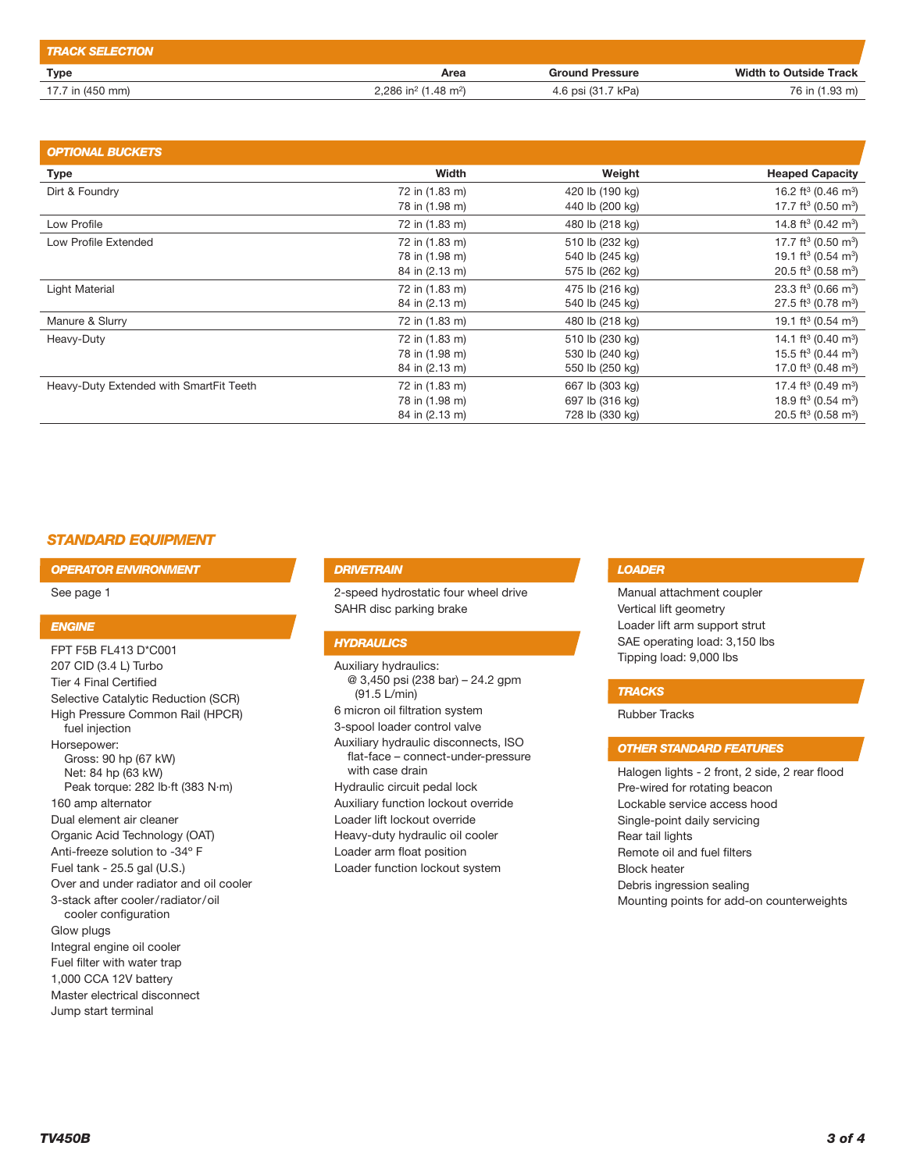| <b>TRACK SELECTION</b> |                                              |                        |                               |
|------------------------|----------------------------------------------|------------------------|-------------------------------|
| Type                   | Area                                         | <b>Ground Pressure</b> | <b>Width to Outside Track</b> |
| 17.7 in (450 mm)       | 2.286 in <sup>2</sup> (1.48 m <sup>2</sup> ) | 4.6 psi (31.7 kPa)     | 76 in (1.93 m)                |

| <b>OPTIONAL BUCKETS</b>                 |                |                 |                                             |
|-----------------------------------------|----------------|-----------------|---------------------------------------------|
| <b>Type</b>                             | Width          | Weight          | <b>Heaped Capacity</b>                      |
| Dirt & Foundry                          | 72 in (1.83 m) | 420 lb (190 kg) | 16.2 ft <sup>3</sup> (0.46 m <sup>3</sup> ) |
|                                         | 78 in (1.98 m) | 440 lb (200 kg) | 17.7 ft <sup>3</sup> (0.50 m <sup>3</sup> ) |
| Low Profile                             | 72 in (1.83 m) | 480 lb (218 kg) | 14.8 ft <sup>3</sup> (0.42 m <sup>3</sup> ) |
| Low Profile Extended                    | 72 in (1.83 m) | 510 lb (232 kg) | 17.7 ft <sup>3</sup> (0.50 m <sup>3</sup> ) |
|                                         | 78 in (1.98 m) | 540 lb (245 kg) | 19.1 ft <sup>3</sup> (0.54 m <sup>3</sup> ) |
|                                         | 84 in (2.13 m) | 575 lb (262 kg) | 20.5 ft <sup>3</sup> (0.58 m <sup>3</sup> ) |
| Light Material                          | 72 in (1.83 m) | 475 lb (216 kg) | 23.3 ft <sup>3</sup> (0.66 m <sup>3</sup> ) |
|                                         | 84 in (2.13 m) | 540 lb (245 kg) | 27.5 ft <sup>3</sup> (0.78 m <sup>3</sup> ) |
| Manure & Slurry                         | 72 in (1.83 m) | 480 lb (218 kg) | 19.1 ft <sup>3</sup> (0.54 m <sup>3</sup> ) |
| Heavy-Duty                              | 72 in (1.83 m) | 510 lb (230 kg) | 14.1 ft <sup>3</sup> (0.40 m <sup>3</sup> ) |
|                                         | 78 in (1.98 m) | 530 lb (240 kg) | 15.5 ft <sup>3</sup> (0.44 m <sup>3</sup> ) |
|                                         | 84 in (2.13 m) | 550 lb (250 kg) | 17.0 ft <sup>3</sup> (0.48 m <sup>3</sup> ) |
| Heavy-Duty Extended with SmartFit Teeth | 72 in (1.83 m) | 667 lb (303 kg) | 17.4 ft <sup>3</sup> (0.49 m <sup>3</sup> ) |
|                                         | 78 in (1.98 m) | 697 lb (316 kg) | 18.9 ft <sup>3</sup> (0.54 m <sup>3</sup> ) |
|                                         | 84 in (2.13 m) | 728 lb (330 kg) | 20.5 ft <sup>3</sup> (0.58 m <sup>3</sup> ) |

# *STANDARD EQUIPMENT*

*OPERATOR ENVIRONMENT*

See page 1

## *ENGINE*

FPT F5B FL413 D\*C001 207 CID (3.4 L) Turbo Tier 4 Final Certified Selective Catalytic Reduction (SCR) High Pressure Common Rail (HPCR) fuel injection Horsepower: Gross: 90 hp (67 kW) Net: 84 hp (63 kW) Peak torque: 282 lb·ft (383 N·m) 160 amp alternator Dual element air cleaner Organic Acid Technology (OAT) Anti-freeze solution to -34º F Fuel tank - 25.5 gal (U.S.) Over and under radiator and oil cooler 3-stack after cooler/radiator/oil cooler configuration Glow plugs Integral engine oil cooler Fuel filter with water trap 1,000 CCA 12V battery Master electrical disconnect

## *DRIVETRAIN*

2-speed hydrostatic four wheel drive SAHR disc parking brake

## *HYDRAULICS*

Auxiliary hydraulics: @ 3,450 psi (238 bar) – 24.2 gpm (91.5 L/min) 6 micron oil filtration system 3-spool loader control valve Auxiliary hydraulic disconnects, ISO flat-face – connect-under-pressure with case drain Hydraulic circuit pedal lock Auxiliary function lockout override Loader lift lockout override Heavy-duty hydraulic oil cooler Loader arm float position Loader function lockout system

## *LOADER*

Manual attachment coupler Vertical lift geometry Loader lift arm support strut SAE operating load: 3,150 lbs Tipping load: 9,000 lbs

#### *TRACKS*

Rubber Tracks

## *OTHER STANDARD FEATURES*

Halogen lights - 2 front, 2 side, 2 rear flood Pre-wired for rotating beacon Lockable service access hood Single-point daily servicing Rear tail lights Remote oil and fuel filters Block heater Debris ingression sealing Mounting points for add-on counterweights

Jump start terminal